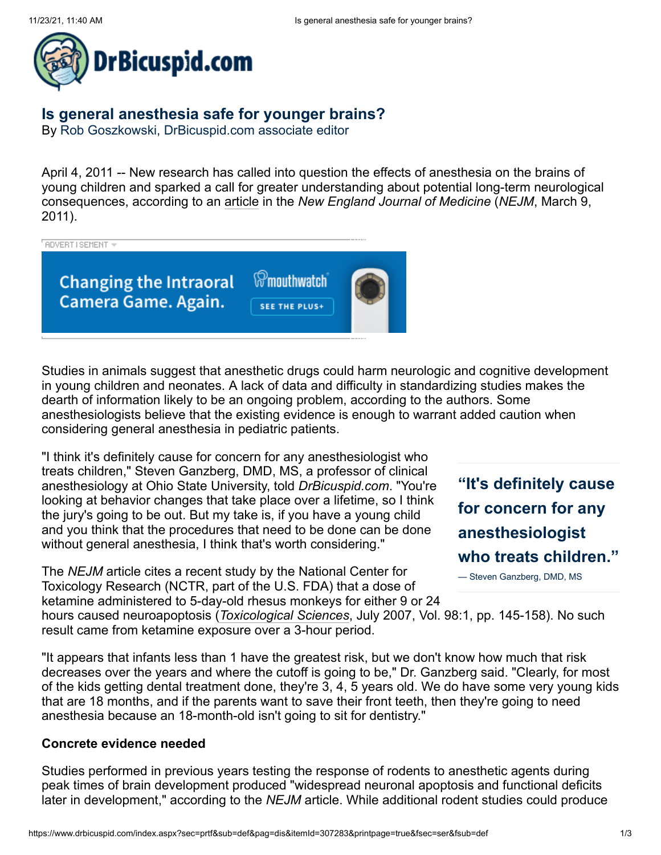

## **Is general [anesthesia](https://www.drbicuspid.com/index.aspx?sec=prtf&sub=def&pag=dis&itemId=307283&printpage=true&fsec=ser&fsub=def) safe for younger brains?**

By [Rob Goszkowski, DrBicuspid.com associate editor](http://contacteditor.drbicuspid.com/)

April 4, 2011 -- New research has called into question the effects of anesthesia on the brains of young children and sparked a call for greater understanding about potential long-term neurological consequences, according to an [article](http://www.nejm.org/doi/full/10.1056/NEJMp1102155) in the *New England Journal of Medicine* (*NEJM*, March 9, 2011).



Studies in animals suggest that anesthetic drugs could harm neurologic and cognitive development in young children and neonates. A lack of data and difficulty in standardizing studies makes the dearth of information likely to be an ongoing problem, according to the authors. Some anesthesiologists believe that the existing evidence is enough to warrant added caution when considering general anesthesia in pediatric patients.

"I think it's definitely cause for concern for any anesthesiologist who treats children," Steven Ganzberg, DMD, MS, a professor of clinical anesthesiology at Ohio State University, told *DrBicuspid.com*. "You're looking at behavior changes that take place over a lifetime, so I think the jury's going to be out. But my take is, if you have a young child and you think that the procedures that need to be done can be done without general anesthesia, I think that's worth considering."

The *NEJM* article cites a recent study by the National Center for Toxicology Research (NCTR, part of the U.S. FDA) that a dose of ketamine administered to 5-day-old rhesus monkeys for either 9 or 24 **"It's definitely cause for concern for any anesthesiologist who treats children."**

— Steven Ganzberg, DMD, MS

hours caused neuroapoptosis (*[Toxicological Sciences](http://toxsci.oxfordjournals.org/)*, July 2007, Vol. 98:1, pp. 145-158). No such result came from ketamine exposure over a 3-hour period.

"It appears that infants less than 1 have the greatest risk, but we don't know how much that risk decreases over the years and where the cutoff is going to be," Dr. Ganzberg said. "Clearly, for most of the kids getting dental treatment done, they're 3, 4, 5 years old. We do have some very young kids that are 18 months, and if the parents want to save their front teeth, then they're going to need anesthesia because an 18-month-old isn't going to sit for dentistry."

## **Concrete evidence needed**

Studies performed in previous years testing the response of rodents to anesthetic agents during peak times of brain development produced "widespread neuronal apoptosis and functional deficits later in development," according to the *NEJM* article. While additional rodent studies could produce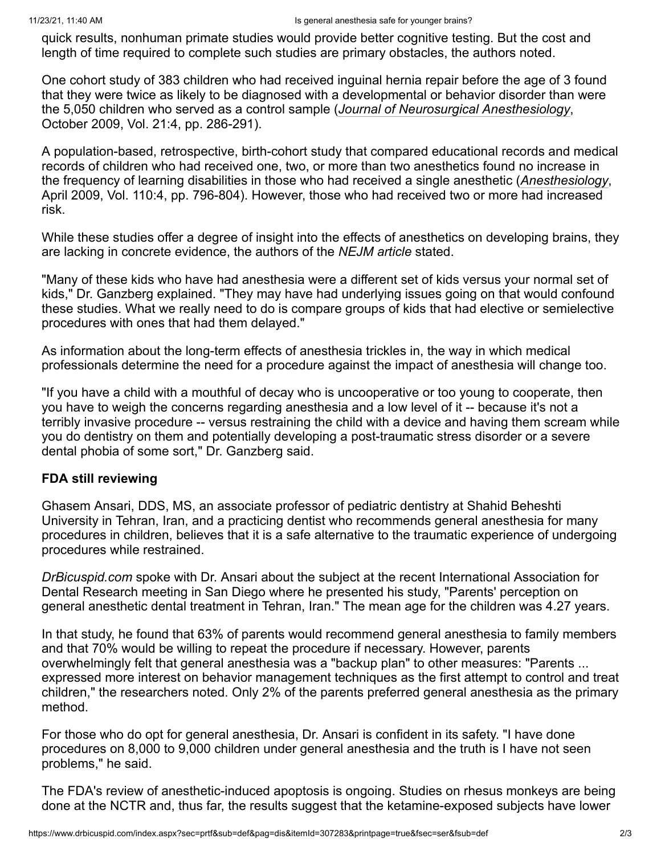quick results, nonhuman primate studies would provide better cognitive testing. But the cost and length of time required to complete such studies are primary obstacles, the authors noted.

One cohort study of 383 children who had received inguinal hernia repair before the age of 3 found that they were twice as likely to be diagnosed with a developmental or behavior disorder than were the 5,050 children who served as a control sample (*[Journal of Neurosurgical Anesthesiology](http://journals.lww.com/jnsa/pages/default.aspx)*, October 2009, Vol. 21:4, pp. 286-291).

A population-based, retrospective, birth-cohort study that compared educational records and medical records of children who had received one, two, or more than two anesthetics found no increase in the frequency of learning disabilities in those who had received a single anesthetic (*[Anesthesiology](http://journals.lww.com/anesthesiology/pages/default.aspx)*, April 2009, Vol. 110:4, pp. 796-804). However, those who had received two or more had increased risk.

While these studies offer a degree of insight into the effects of anesthetics on developing brains, they are lacking in concrete evidence, the authors of the *NEJM article* stated.

"Many of these kids who have had anesthesia were a different set of kids versus your normal set of kids," Dr. Ganzberg explained. "They may have had underlying issues going on that would confound these studies. What we really need to do is compare groups of kids that had elective or semielective procedures with ones that had them delayed."

As information about the long-term effects of anesthesia trickles in, the way in which medical professionals determine the need for a procedure against the impact of anesthesia will change too.

"If you have a child with a mouthful of decay who is uncooperative or too young to cooperate, then you have to weigh the concerns regarding anesthesia and a low level of it -- because it's not a terribly invasive procedure -- versus restraining the child with a device and having them scream while you do dentistry on them and potentially developing a post-traumatic stress disorder or a severe dental phobia of some sort," Dr. Ganzberg said.

## **FDA still reviewing**

Ghasem Ansari, DDS, MS, an associate professor of pediatric dentistry at Shahid Beheshti University in Tehran, Iran, and a practicing dentist who recommends general anesthesia for many procedures in children, believes that it is a safe alternative to the traumatic experience of undergoing procedures while restrained.

*DrBicuspid.com* spoke with Dr. Ansari about the subject at the recent International Association for Dental Research meeting in San Diego where he presented his study, "Parents' perception on general anesthetic dental treatment in Tehran, Iran." The mean age for the children was 4.27 years.

In that study, he found that 63% of parents would recommend general anesthesia to family members and that 70% would be willing to repeat the procedure if necessary. However, parents overwhelmingly felt that general anesthesia was a "backup plan" to other measures: "Parents ... expressed more interest on behavior management techniques as the first attempt to control and treat children," the researchers noted. Only 2% of the parents preferred general anesthesia as the primary method.

For those who do opt for general anesthesia, Dr. Ansari is confident in its safety. "I have done procedures on 8,000 to 9,000 children under general anesthesia and the truth is I have not seen problems," he said.

The FDA's review of anesthetic-induced apoptosis is ongoing. Studies on rhesus monkeys are being done at the NCTR and, thus far, the results suggest that the ketamine-exposed subjects have lower